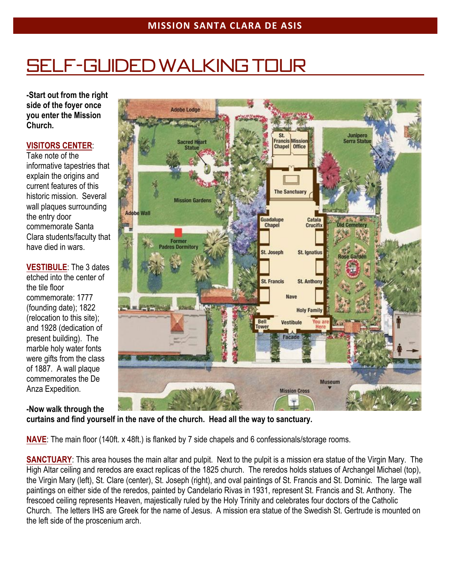# Self-guided walking tour

**-Start out from the right side of the foyer once you enter the Mission Church.**

### **VISITORS CENTER**:

Take note of the informative tapestries that explain the origins and current features of this historic mission. Several wall plaques surrounding the entry door commemorate Santa Clara students/faculty that have died in wars.

**VESTIBULE**: The 3 dates etched into the center of the tile floor commemorate: 1777 (founding date); 1822 (relocation to this site); and 1928 (dedication of present building). The marble holy water fonts were gifts from the class of 1887. A wall plaque commemorates the De Anza Expedition.



**-Now walk through the curtains and find yourself in the nave of the church. Head all the way to sanctuary.**

**NAVE**: The main floor (140ft. x 48ft.) is flanked by 7 side chapels and 6 confessionals/storage rooms.

**SANCTUARY**: This area houses the main altar and pulpit. Next to the pulpit is a mission era statue of the Virgin Mary. The High Altar ceiling and reredos are exact replicas of the 1825 church. The reredos holds statues of Archangel Michael (top), the Virgin Mary (left), St. Clare (center), St. Joseph (right), and oval paintings of St. Francis and St. Dominic. The large wall paintings on either side of the reredos, painted by Candelario Rivas in 1931, represent St. Francis and St. Anthony. The frescoed ceiling represents Heaven, majestically ruled by the Holy Trinity and celebrates four doctors of the Catholic Church. The letters IHS are Greek for the name of Jesus. A mission era statue of the Swedish St. Gertrude is mounted on the left side of the proscenium arch.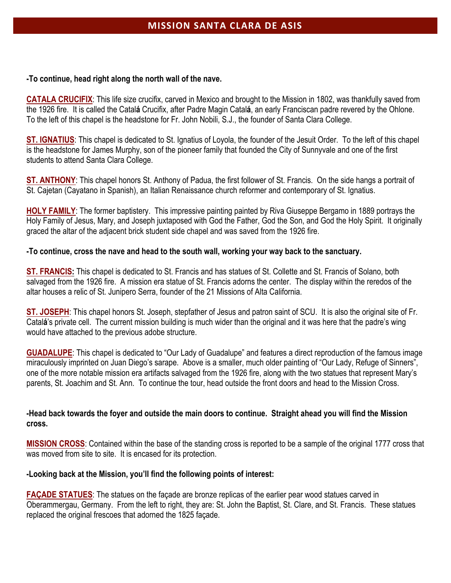#### **-To continue, head right along the north wall of the nave.**

**CATALA CRUCIFIX**: This life size crucifix, carved in Mexico and brought to the Mission in 1802, was thankfully saved from the 1926 fire. It is called the Catal**á** Crucifix, after Padre Magin Catal**á**, an early Franciscan padre revered by the Ohlone. To the left of this chapel is the headstone for Fr. John Nobili, S.J., the founder of Santa Clara College.

**ST. IGNATIUS**: This chapel is dedicated to St. Ignatius of Loyola, the founder of the Jesuit Order. To the left of this chapel is the headstone for James Murphy, son of the pioneer family that founded the City of Sunnyvale and one of the first students to attend Santa Clara College.

**ST. ANTHONY**: This chapel honors St. Anthony of Padua, the first follower of St. Francis. On the side hangs a portrait of St. Cajetan (Cayatano in Spanish), an Italian Renaissance church reformer and contemporary of St. Ignatius.

**HOLY FAMILY**: The former baptistery. This impressive painting painted by Riva Giuseppe Bergamo in 1889 portrays the Holy Family of Jesus, Mary, and Joseph juxtaposed with God the Father, God the Son, and God the Holy Spirit. It originally graced the altar of the adjacent brick student side chapel and was saved from the 1926 fire.

### **-To continue, cross the nave and head to the south wall, working your way back to the sanctuary.**

**ST. FRANCIS:** This chapel is dedicated to St. Francis and has statues of St. Collette and St. Francis of Solano, both salvaged from the 1926 fire. A mission era statue of St. Francis adorns the center. The display within the reredos of the altar houses a relic of St. Junipero Serra, founder of the 21 Missions of Alta California.

**ST. JOSEPH**: This chapel honors St. Joseph, stepfather of Jesus and patron saint of SCU. It is also the original site of Fr. Catal**á**'s private cell. The current mission building is much wider than the original and it was here that the padre's wing would have attached to the previous adobe structure.

**GUADALUPE**: This chapel is dedicated to "Our Lady of Guadalupe" and features a direct reproduction of the famous image miraculously imprinted on Juan Diego's sarape. Above is a smaller, much older painting of "Our Lady, Refuge of Sinners", one of the more notable mission era artifacts salvaged from the 1926 fire, along with the two statues that represent Mary's parents, St. Joachim and St. Ann. To continue the tour, head outside the front doors and head to the Mission Cross.

### **-Head back towards the foyer and outside the main doors to continue. Straight ahead you will find the Mission cross.**

**MISSION CROSS**: Contained within the base of the standing cross is reported to be a sample of the original 1777 cross that was moved from site to site. It is encased for its protection.

### **-Looking back at the Mission, you'll find the following points of interest:**

**FAÇADE STATUES**: The statues on the façade are bronze replicas of the earlier pear wood statues carved in Oberammergau, Germany. From the left to right, they are: St. John the Baptist, St. Clare, and St. Francis. These statues replaced the original frescoes that adorned the 1825 façade.